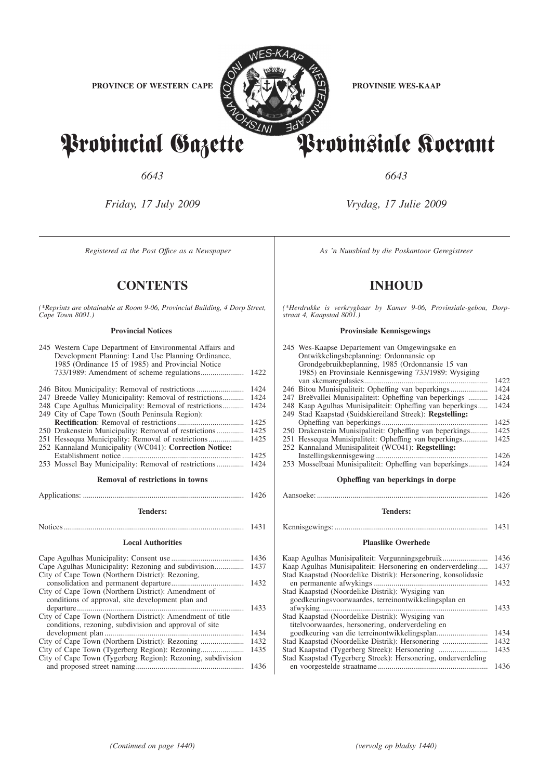

Provincial Gazette Provinsiale Koerant

*6643 6643*

*Friday, 17 July 2009 Vrydag, 17 Julie 2009*

# **CONTENTS INHOUD**

*(\*Reprints are obtainable at Room 9-06, Provincial Building, 4 Dorp Street, Cape Town 8001.)*

## **Provincial Notices**

| 245 Western Cape Department of Environmental Affairs and<br>Development Planning: Land Use Planning Ordinance,<br>1985 (Ordinance 15 of 1985) and Provincial Notice |                                                                                                                                                                  |  |  |
|---------------------------------------------------------------------------------------------------------------------------------------------------------------------|------------------------------------------------------------------------------------------------------------------------------------------------------------------|--|--|
|                                                                                                                                                                     | 1422                                                                                                                                                             |  |  |
| 246 Bitou Municipality: Removal of restrictions                                                                                                                     | 1424                                                                                                                                                             |  |  |
| 247 Breede Valley Municipality: Removal of restrictions                                                                                                             | 1424                                                                                                                                                             |  |  |
| 248 Cape Agulhas Municipality: Removal of restrictions                                                                                                              | 1424                                                                                                                                                             |  |  |
| 249 City of Cape Town (South Peninsula Region):                                                                                                                     |                                                                                                                                                                  |  |  |
|                                                                                                                                                                     | 1425                                                                                                                                                             |  |  |
| 250 Drakenstein Municipality: Removal of restrictions                                                                                                               | 1425                                                                                                                                                             |  |  |
|                                                                                                                                                                     | 1425                                                                                                                                                             |  |  |
| 252 Kannaland Municipality (WC041): Correction Notice:                                                                                                              |                                                                                                                                                                  |  |  |
|                                                                                                                                                                     | 1425                                                                                                                                                             |  |  |
|                                                                                                                                                                     | 1424                                                                                                                                                             |  |  |
| Removal of restrictions in towns                                                                                                                                    |                                                                                                                                                                  |  |  |
|                                                                                                                                                                     | 1426                                                                                                                                                             |  |  |
| <b>Tenders:</b>                                                                                                                                                     |                                                                                                                                                                  |  |  |
|                                                                                                                                                                     | 1431                                                                                                                                                             |  |  |
|                                                                                                                                                                     |                                                                                                                                                                  |  |  |
| <b>Local Authorities</b>                                                                                                                                            |                                                                                                                                                                  |  |  |
|                                                                                                                                                                     | 1436                                                                                                                                                             |  |  |
| 1437                                                                                                                                                                |                                                                                                                                                                  |  |  |
| City of Cape Town (Northern District): Rezoning,                                                                                                                    |                                                                                                                                                                  |  |  |
|                                                                                                                                                                     | 1432                                                                                                                                                             |  |  |
| City of Cape Town (Northern District): Amendment of                                                                                                                 |                                                                                                                                                                  |  |  |
|                                                                                                                                                                     |                                                                                                                                                                  |  |  |
|                                                                                                                                                                     |                                                                                                                                                                  |  |  |
| .                                                                                                                                                                   | 1433                                                                                                                                                             |  |  |
| City of Cape Town (Northern District): Amendment of title                                                                                                           |                                                                                                                                                                  |  |  |
| conditions, rezoning, subdivision and approval of site                                                                                                              |                                                                                                                                                                  |  |  |
|                                                                                                                                                                     | 1434                                                                                                                                                             |  |  |
|                                                                                                                                                                     | 1432                                                                                                                                                             |  |  |
| City of Cape Town (Tygerberg Region): Rezoning, subdivision                                                                                                         | 1435                                                                                                                                                             |  |  |
|                                                                                                                                                                     | 253 Mossel Bay Municipality: Removal of restrictions<br>Cape Agulhas Municipality: Rezoning and subdivision<br>conditions of approval, site development plan and |  |  |

*Registered at the Post Office as a Newspaper* As 'n Nuusblad by die Poskantoor Geregistreer

*(\*Herdrukke is verkrygbaar by Kamer 9-06, Provinsiale-gebou, Dorpstraat 4, Kaapstad 8001.)*

#### **Provinsiale Kennisgewings**

| 245 Wes-Kaapse Departement van Omgewingsake en            |      |
|-----------------------------------------------------------|------|
| Ontwikkelingsbeplanning: Ordonnansie op                   |      |
| Grondgebruikbeplanning, 1985 (Ordonnansie 15 van          |      |
| 1985) en Provinsiale Kennisgewing 733/1989: Wysiging      |      |
|                                                           | 1422 |
|                                                           | 1424 |
| 247 Breëvallei Munisipaliteit: Opheffing van beperkings   | 1424 |
| 248 Kaap Agulhas Munisipaliteit: Opheffing van beperkings | 1424 |
| 249 Stad Kaapstad (Suidskiereiland Streek): Regstelling:  |      |
|                                                           | 1425 |
| 250 Drakenstein Munisipaliteit: Opheffing van beperkings  | 1425 |
| 251 Hessequa Munisipaliteit: Opheffing van beperkings     | 1425 |
| 252 Kannaland Munisipaliteit (WC041): Regstelling:        |      |
|                                                           | 1426 |
| 253 Mosselbaai Munisipaliteit: Opheffing van beperkings   | 1424 |
| Opheffing van beperkings in dorpe                         |      |
| Aansoeke:                                                 | 1426 |

# **Tenders:**

Kennisgewings: .............................................................................. 1431

### **Plaaslike Owerhede**

| Kaap Agulhas Munisipaliteit: Vergunningsgebruik               | 1436 |
|---------------------------------------------------------------|------|
| Kaap Agulhas Munisipaliteit: Hersonering en onderverdeling    | 1437 |
| Stad Kaapstad (Noordelike Distrik): Hersonering, konsolidasie |      |
|                                                               | 1432 |
| Stad Kaapstad (Noordelike Distrik): Wysiging van              |      |
| goedkeuringsvoorwaardes, terreinontwikkelingsplan en          |      |
|                                                               | 1433 |
| Stad Kaapstad (Noordelike Distrik): Wysiging van              |      |
| titelyoorwaardes, hersonering, onderverdeling en              |      |
|                                                               | 1434 |
|                                                               | 1432 |
| Stad Kaapstad (Tygerberg Streek): Hersonering                 | 1435 |
| Stad Kaapstad (Tygerberg Streek): Hersonering, onderverdeling |      |
|                                                               | 1436 |
|                                                               |      |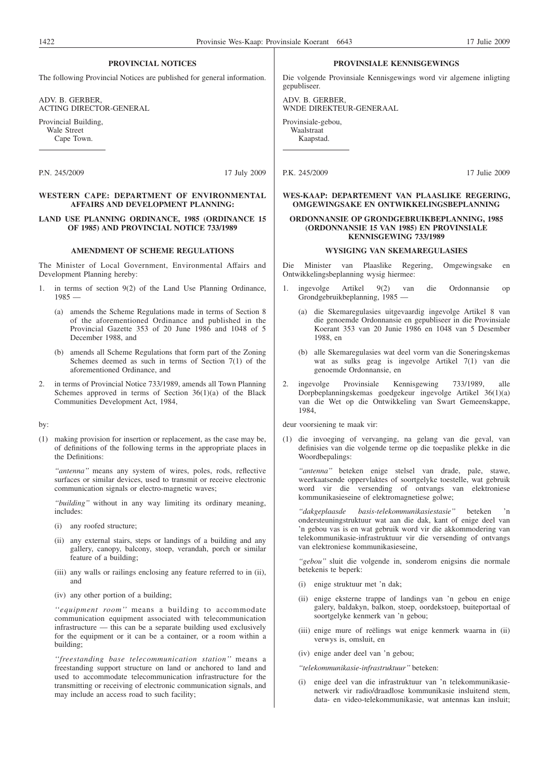#### **PROVINCIAL NOTICES**

The following Provincial Notices are published for general information.

ADV. B. GERBER, ACTING DIRECTOR-GENERAL

Provincial Building, Wale Street Cape Town.

P.N. 245/2009 17 July 2009

#### **WESTERN CAPE: DEPARTMENT OF ENVIRONMENTAL AFFAIRS AND DEVELOPMENT PLANNING:**

#### **LAND USE PLANNING ORDINANCE, 1985 (ORDINANCE 15 OF 1985) AND PROVINCIAL NOTICE 733/1989**

### **AMENDMENT OF SCHEME REGULATIONS**

The Minister of Local Government, Environmental Affairs and Development Planning hereby:

- in terms of section  $9(2)$  of the Land Use Planning Ordinance, 1985 —
	- (a) amends the Scheme Regulations made in terms of Section 8 of the aforementioned Ordinance and published in the Provincial Gazette 353 of 20 June 1986 and 1048 of 5 December 1988, and
	- (b) amends all Scheme Regulations that form part of the Zoning Schemes deemed as such in terms of Section 7(1) of the aforementioned Ordinance, and
- 2. in terms of Provincial Notice 733/1989, amends all Town Planning Schemes approved in terms of Section  $36(1)(a)$  of the Black Communities Development Act, 1984,

#### by:

(1) making provision for insertion or replacement, as the case may be, of definitions of the following terms in the appropriate places in the Definitions:

*''antenna''* means any system of wires, poles, rods, reflective surfaces or similar devices, used to transmit or receive electronic communication signals or electro-magnetic waves;

*''building''* without in any way limiting its ordinary meaning, includes:

- (i) any roofed structure;
- (ii) any external stairs, steps or landings of a building and any gallery, canopy, balcony, stoep, verandah, porch or similar feature of a building;
- (iii) any walls or railings enclosing any feature referred to in (ii), and
- (iv) any other portion of a building;

*''equipment room''* means a building to accommodate communication equipment associated with telecommunication infrastructure — this can be a separate building used exclusively for the equipment or it can be a container, or a room within a building;

*''freestanding base telecommunication station''* means a freestanding support structure on land or anchored to land and used to accommodate telecommunication infrastructure for the transmitting or receiving of electronic communication signals, and may include an access road to such facility;

#### **PROVINSIALE KENNISGEWINGS**

Die volgende Provinsiale Kennisgewings word vir algemene inligting gepubliseer.

ADV. B. GERBER, WNDE DIREKTEUR-GENERAAL

Provinsiale-gebou, Waalstraat Kaapstad.

```
P.K. 245/2009 17 Julie 2009
```
#### **WES-KAAP: DEPARTEMENT VAN PLAASLIKE REGERING, OMGEWINGSAKE EN ONTWIKKELINGSBEPLANNING**

#### **ORDONNANSIE OP GRONDGEBRUIKBEPLANNING, 1985 (ORDONNANSIE 15 VAN 1985) EN PROVINSIALE KENNISGEWING 733/1989**

#### **WYSIGING VAN SKEMAREGULASIES**

Die Minister van Plaaslike Regering, Omgewingsake en Ontwikkelingsbeplanning wysig hiermee:

- 1. ingevolge Artikel 9(2) van die Ordonnansie op Grondgebruikbeplanning, 1985
	- die Skemaregulasies uitgevaardig ingevolge Artikel 8 van die genoemde Ordonnansie en gepubliseer in die Provinsiale Koerant 353 van 20 Junie 1986 en 1048 van 5 Desember 1988, en
	- (b) alle Skemaregulasies wat deel vorm van die Soneringskemas wat as sulks geag is ingevolge Artikel 7(1) van die genoemde Ordonnansie, en
- 2. ingevolge Provinsiale Kennisgewing 733/1989, alle Dorpbeplanningskemas goedgekeur ingevolge Artikel 36(1)(a) van die Wet op die Ontwikkeling van Swart Gemeenskappe, 1984,

deur voorsiening te maak vir:

(1) die invoeging of vervanging, na gelang van die geval, van definisies van die volgende terme op die toepaslike plekke in die Woordbepalings:

*''antenna''* beteken enige stelsel van drade, pale, stawe, weerkaatsende oppervlaktes of soortgelyke toestelle, wat gebruik word vir die versending of ontvangs van elektroniese kommunikasieseine of elektromagnetiese golwe;

*''dakgeplaasde basis-telekommunikasiestasie''* beteken 'n ondersteuningstruktuur wat aan die dak, kant of enige deel van 'n gebou vas is en wat gebruik word vir die akkommodering van telekommunikasie-infrastruktuur vir die versending of ontvangs van elektroniese kommunikasieseine,

*''gebou''* sluit die volgende in, sonderom enigsins die normale betekenis te beperk:

- (i) enige struktuur met 'n dak;
- (ii) enige eksterne trappe of landings van 'n gebou en enige galery, baldakyn, balkon, stoep, oordekstoep, buiteportaal of soortgelyke kenmerk van 'n gebou;
- (iii) enige mure of reëlings wat enige kenmerk waarna in (ii) verwys is, omsluit, en
- (iv) enige ander deel van 'n gebou;
- *''telekommunikasie-infrastruktuur''* beteken:
- (i) enige deel van die infrastruktuur van 'n telekommunikasienetwerk vir radio/draadlose kommunikasie insluitend stem, data- en video-telekommunikasie, wat antennas kan insluit;